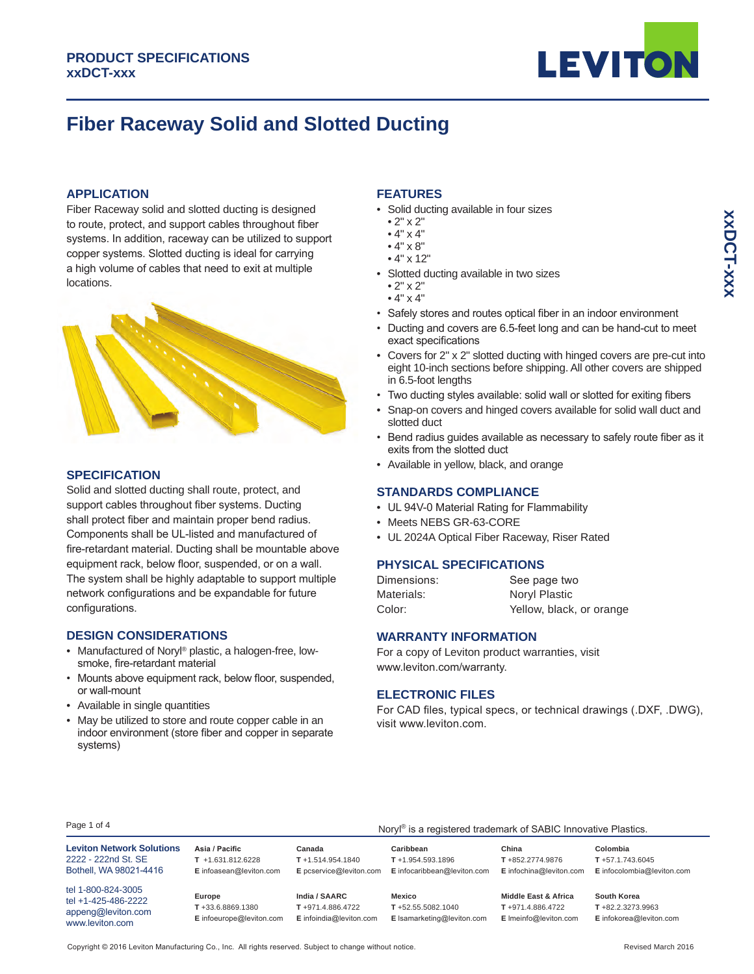

# **Fiber Raceway Solid and Slotted Ducting**

# **APPLICATION**

Fiber Raceway solid and slotted ducting is designed to route, protect, and support cables throughout fiber systems. In addition, raceway can be utilized to support copper systems. Slotted ducting is ideal for carrying a high volume of cables that need to exit at multiple locations.



## **SPECIFICATION**

Solid and slotted ducting shall route, protect, and support cables throughout fiber systems. Ducting shall protect fiber and maintain proper bend radius. Components shall be UL-listed and manufactured of fire-retardant material. Ducting shall be mountable above equipment rack, below floor, suspended, or on a wall. The system shall be highly adaptable to support multiple network configurations and be expandable for future configurations.

# **DESIGN CONSIDERATIONS**

- Manufactured of Noryl® plastic, a halogen-free, low- smoke, fire-retardant material
- Mounts above equipment rack, below floor, suspended, or wall-mount
- Available in single quantities
- May be utilized to store and route copper cable in an indoor environment (store fiber and copper in separate systems)

# **FEATURES**

- Solid ducting available in four sizes
- 2" x 2"
- $\bullet$  4"  $\times$  4"
- $\bullet$  4"  $\times$  8"
- 4" x 12"
- Slotted ducting available in two sizes
	- 2" x 2"
	- $\bullet$  4"  $\times$  4"
- Safely stores and routes optical fiber in an indoor environment
- Ducting and covers are 6.5-feet long and can be hand-cut to meet exact specifications
- Covers for 2" x 2" slotted ducting with hinged covers are pre-cut into eight 10-inch sections before shipping. All other covers are shipped in 6.5-foot lengths
- Two ducting styles available: solid wall or slotted for exiting fibers
- Snap-on covers and hinged covers available for solid wall duct and slotted duct
- Bend radius guides available as necessary to safely route fiber as it exits from the slotted duct
- Available in yellow, black, and orange

## **STANDARDS COMPLIANCE**

- UL 94V-0 Material Rating for Flammability
- Meets NEBS GR-63-CORE
- UL 2024A Optical Fiber Raceway, Riser Rated

## **PHYSICAL SPECIFICATIONS**

| Dimensions: | See page two             |
|-------------|--------------------------|
| Materials:  | Noryl Plastic            |
| Color:      | Yellow, black, or orange |

# **WARRANTY INFORMATION**

For a copy of Leviton product warranties, visit www.leviton.com/warranty.

#### **ELECTRONIC FILES**

For CAD files, typical specs, or technical drawings (.DXF, .DWG), visit www.leviton.com.

#### Page 1 of 4

| Page 1 of 4<br>Noryl <sup>®</sup> is a registered trademark of SABIC Innovative Plastics. |                                                                   |                                                              |                                                                  |                                                                   |                                                                |
|-------------------------------------------------------------------------------------------|-------------------------------------------------------------------|--------------------------------------------------------------|------------------------------------------------------------------|-------------------------------------------------------------------|----------------------------------------------------------------|
| <b>Leviton Network Solutions</b><br>2222 - 222nd St. SE<br>Bothell, WA 98021-4416         | Asia / Pacific<br>$T + 1.631.812.6228$<br>E infoasean@leviton.com | Canada<br>$T + 1.514.954.1840$<br>E pcservice@leviton.com    | Caribbean<br>$T + 1.954.593.1896$<br>E infocaribbean@leviton.com | China<br>T+852.2774.9876<br>E infochina@leviton.com               | Colombia<br>$T + 57.1.743.6045$<br>E infocolombia@leviton.com  |
| tel 1-800-824-3005<br>tel +1-425-486-2222<br>appeng@leviton.com<br>www.leviton.com        | Europe<br>T+33.6.8869.1380<br>E infoeurope@leviton.com            | India / SAARC<br>T+971.4.886.4722<br>E infoindia@leviton.com | Mexico<br>$T + 52.55.5082.1040$<br>E Isamarketing@leviton.com    | Middle East & Africa<br>T+971.4.886.4722<br>E Imeinfo@leviton.com | South Korea<br>$T + 82.2.3273.9963$<br>E infokorea@leviton.com |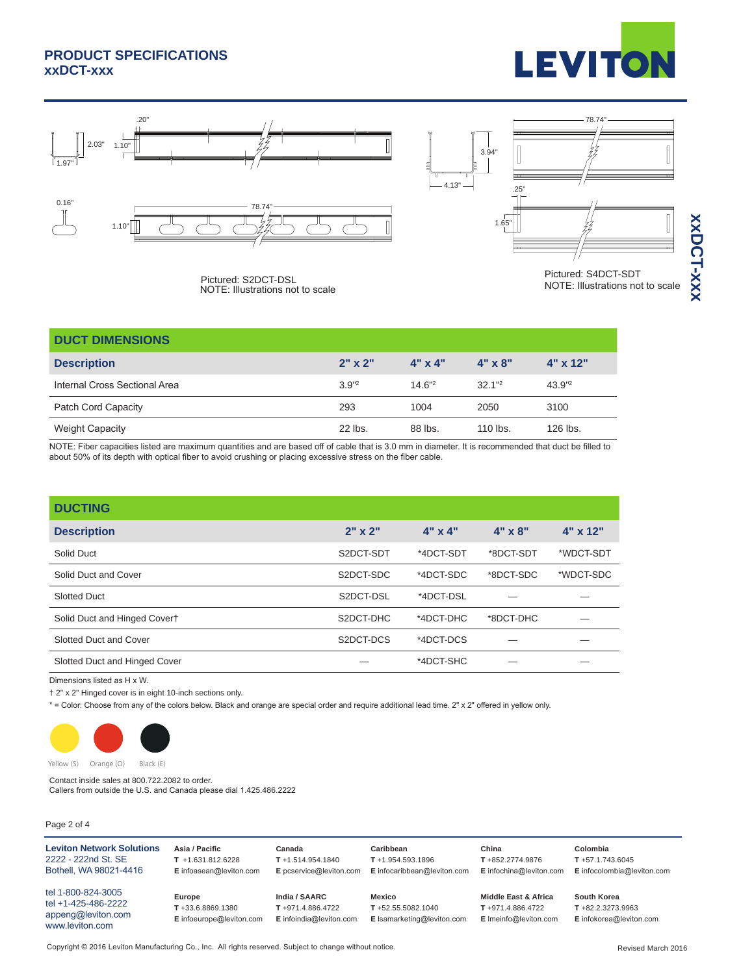# **PRODUCT SPECIFICATIONS xxDCT-xxx**







**XXX-TOCXX xxDCT-xxx**

Pictured: S2DCT-DSL<br>
Pictured: S2DCT-DSL<br>
NOTE: Illustrations not to scale<br>
NOTE: Illustrations not to scale NOTE: Illustrations not to scale

| <b>DUCT DIMENSIONS</b>        |                |                |                |            |
|-------------------------------|----------------|----------------|----------------|------------|
| <b>Description</b>            | $2" \times 2"$ | $4" \times 4"$ | $4" \times 8"$ | $4"$ x 12" |
| Internal Cross Sectional Area | $3.9^{12}$     | $14.6"^2$      | $32.1^{\circ}$ | 43.9"2     |
| Patch Cord Capacity           | 293            | 1004           | 2050           | 3100       |
| <b>Weight Capacity</b>        | $22$ lbs.      | 88 lbs.        | $110$ lbs.     | 126 lbs.   |

NOTE: Fiber capacities listed are maximum quantities and are based off of cable that is 3.0 mm in diameter. It is recommended that duct be filled to about 50% of its depth with optical fiber to avoid crushing or placing excessive stress on the fiber cable.

| <b>DUCTING</b>                |                |                |                |            |
|-------------------------------|----------------|----------------|----------------|------------|
| <b>Description</b>            | $2" \times 2"$ | $4" \times 4"$ | $4" \times 8"$ | $4"$ x 12" |
| Solid Duct                    | S2DCT-SDT      | *4DCT-SDT      | *8DCT-SDT      | *WDCT-SDT  |
| Solid Duct and Cover          | S2DCT-SDC      | *4DCT-SDC      | *8DCT-SDC      | *WDCT-SDC  |
| <b>Slotted Duct</b>           | S2DCT-DSL      | *4DCT-DSL      |                |            |
| Solid Duct and Hinged Covert  | S2DCT-DHC      | *4DCT-DHC      | *8DCT-DHC      |            |
| Slotted Duct and Cover        | S2DCT-DCS      | *4DCT-DCS      |                |            |
| Slotted Duct and Hinged Cover |                | *4DCT-SHC      |                |            |
|                               |                |                |                |            |

Dimensions listed as H x W.

† 2" x 2" Hinged cover is in eight 10-inch sections only.

\* = Color: Choose from any of the colors below. Black and orange are special order and require additional lead time. 2" x 2" offered in yellow only.



Contact inside sales at 800.722.2082 to order. Callers from outside the U.S. and Canada please dial 1.425.486.2222

## Page 2 of 4

| <b>Leviton Network Solutions</b>                                                   | Asia / Pacific                                         | Canada                                                       | Caribbean                                                 | China                                                                            | Colombia                                                       |
|------------------------------------------------------------------------------------|--------------------------------------------------------|--------------------------------------------------------------|-----------------------------------------------------------|----------------------------------------------------------------------------------|----------------------------------------------------------------|
| 2222 - 222nd St. SE                                                                | $T + 1.631.812.6228$                                   | $T + 1.514.954.1840$                                         | $T + 1.954.593.1896$                                      | T+852.2774.9876                                                                  | $T + 57.1.743.6045$                                            |
| Bothell, WA 98021-4416                                                             | E infoasean@leviton.com                                | E pcservice@leviton.com                                      | E infocaribbean@leviton.com                               | E infochina@leviton.com                                                          | E infocolombia@leviton.com                                     |
| tel 1-800-824-3005<br>tel +1-425-486-2222<br>appeng@leviton.com<br>www.leviton.com | Europe<br>T+33.6.8869.1380<br>E infoeurope@leviton.com | India / SAARC<br>T+971.4.886.4722<br>E infoindia@leviton.com | Mexico<br>T+52.55.5082.1040<br>E Isamarketing@leviton.com | <b>Middle East &amp; Africa</b><br>$T + 971.4.886.4722$<br>E Imeinfo@leviton.com | South Korea<br>$T + 82.2.3273.9963$<br>E infokorea@leviton.com |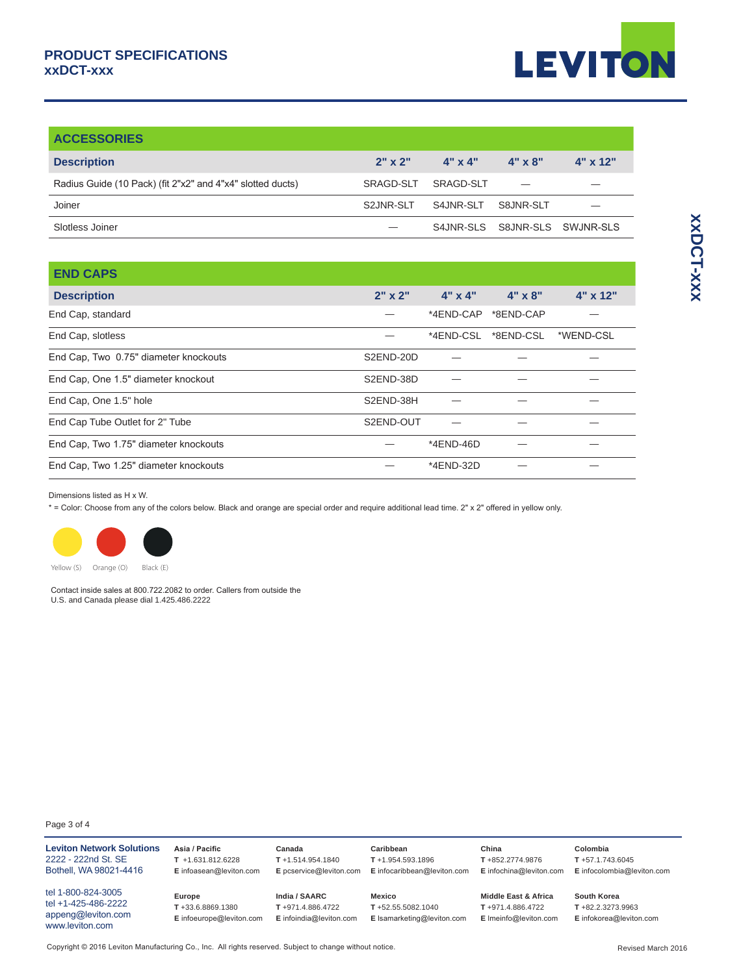

| <b>ACCESSORIES</b>                                         |             |                     |                               |                 |
|------------------------------------------------------------|-------------|---------------------|-------------------------------|-----------------|
| <b>Description</b>                                         | $2"$ x $2"$ | $A'' \times A''$    | $4" \times 8"$                | $4" \times 12"$ |
| Radius Guide (10 Pack) (fit 2"x2" and 4"x4" slotted ducts) | SRAGD-SLT   | SRAGD-SLT           |                               |                 |
| Joiner                                                     | S2JNR-SLT   | S4JNR-SLT S8JNR-SLT |                               |                 |
| Slotless Joiner                                            |             |                     | S4JNR-SLS S8JNR-SLS SWJNR-SLS |                 |

| <b>END CAPS</b>                       |                |                |                     |                 |
|---------------------------------------|----------------|----------------|---------------------|-----------------|
| <b>Description</b>                    | $2" \times 2"$ | $4" \times 4"$ | $4" \times 8"$      | $4" \times 12"$ |
| End Cap, standard                     |                |                | *4END-CAP *8END-CAP |                 |
| End Cap, slotless                     |                | *4END-CSL      | *8END-CSL           | *WEND-CSL       |
| End Cap, Two 0.75" diameter knockouts | S2END-20D      |                |                     |                 |
| End Cap, One 1.5" diameter knockout   | S2END-38D      |                |                     |                 |
| End Cap, One 1.5" hole                | S2END-38H      |                |                     |                 |
| End Cap Tube Outlet for 2" Tube       | S2END-OUT      |                |                     |                 |
| End Cap, Two 1.75" diameter knockouts |                | *4END-46D      |                     |                 |
| End Cap, Two 1.25" diameter knockouts |                | *4END-32D      |                     |                 |
|                                       |                |                |                     |                 |

#### Dimensions listed as H x W.

\* = Color: Choose from any of the colors below. Black and orange are special order and require additional lead time. 2" x 2" offered in yellow only.



Yellow (S) Orange (O) Black (E)

Contact inside sales at 800.722.2082 to order. Callers from outside the U.S. and Canada please dial 1.425.486.2222

#### Page 3 of 4

| <b>Leviton Network Solutions</b><br>2222 - 222nd St. SE<br>Bothell, WA 98021-4416  | Asia / Pacific<br>$T$ +1.631.812.6228<br>E infoasean@leviton.com | Canada<br>$T + 1.514.954.1840$<br>E pcservice@leviton.com    | Caribbean<br>$T + 1.954.593.1896$<br>E infocaribbean@leviton.com | China<br>T+852.2774.9876<br>E infochina@leviton.com                          | Colombia<br>$T + 57.1.743.6045$<br>E infocolombia@leviton.com  |
|------------------------------------------------------------------------------------|------------------------------------------------------------------|--------------------------------------------------------------|------------------------------------------------------------------|------------------------------------------------------------------------------|----------------------------------------------------------------|
| tel 1-800-824-3005<br>tel +1-425-486-2222<br>appeng@leviton.com<br>www.leviton.com | Europe<br>T+33.6.8869.1380<br>E infoeurope@leviton.com           | India / SAARC<br>T+971.4.886.4722<br>E infoindia@leviton.com | Mexico<br>$T + 52.55.5082.1040$<br>E Isamarketing@leviton.com    | <b>Middle East &amp; Africa</b><br>T+971.4.886.4722<br>E Imeinfo@leviton.com | South Korea<br>$T + 82.2.3273.9963$<br>E infokorea@leviton.com |

**XXDCT-XXX xxDCT-xxx**